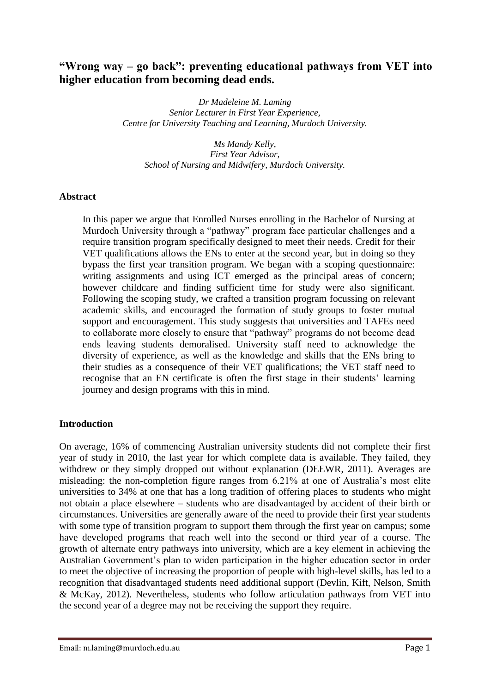# **"Wrong way – go back": preventing educational pathways from VET into higher education from becoming dead ends.**

*Dr Madeleine M. Laming Senior Lecturer in First Year Experience, Centre for University Teaching and Learning, Murdoch University.*

*Ms Mandy Kelly, First Year Advisor, School of Nursing and Midwifery, Murdoch University.*

### **Abstract**

In this paper we argue that Enrolled Nurses enrolling in the Bachelor of Nursing at Murdoch University through a "pathway" program face particular challenges and a require transition program specifically designed to meet their needs. Credit for their VET qualifications allows the ENs to enter at the second year, but in doing so they bypass the first year transition program. We began with a scoping questionnaire: writing assignments and using ICT emerged as the principal areas of concern; however childcare and finding sufficient time for study were also significant. Following the scoping study, we crafted a transition program focussing on relevant academic skills, and encouraged the formation of study groups to foster mutual support and encouragement. This study suggests that universities and TAFEs need to collaborate more closely to ensure that "pathway" programs do not become dead ends leaving students demoralised. University staff need to acknowledge the diversity of experience, as well as the knowledge and skills that the ENs bring to their studies as a consequence of their VET qualifications; the VET staff need to recognise that an EN certificate is often the first stage in their students' learning journey and design programs with this in mind.

#### **Introduction**

On average, 16% of commencing Australian university students did not complete their first year of study in 2010, the last year for which complete data is available. They failed, they withdrew or they simply dropped out without explanation (DEEWR, 2011). Averages are misleading: the non-completion figure ranges from 6.21% at one of Australia's most elite universities to 34% at one that has a long tradition of offering places to students who might not obtain a place elsewhere – students who are disadvantaged by accident of their birth or circumstances. Universities are generally aware of the need to provide their first year students with some type of transition program to support them through the first year on campus; some have developed programs that reach well into the second or third year of a course. The growth of alternate entry pathways into university, which are a key element in achieving the Australian Government's plan to widen participation in the higher education sector in order to meet the objective of increasing the proportion of people with high-level skills, has led to a recognition that disadvantaged students need additional support (Devlin, Kift, Nelson, Smith & McKay, 2012). Nevertheless, students who follow articulation pathways from VET into the second year of a degree may not be receiving the support they require.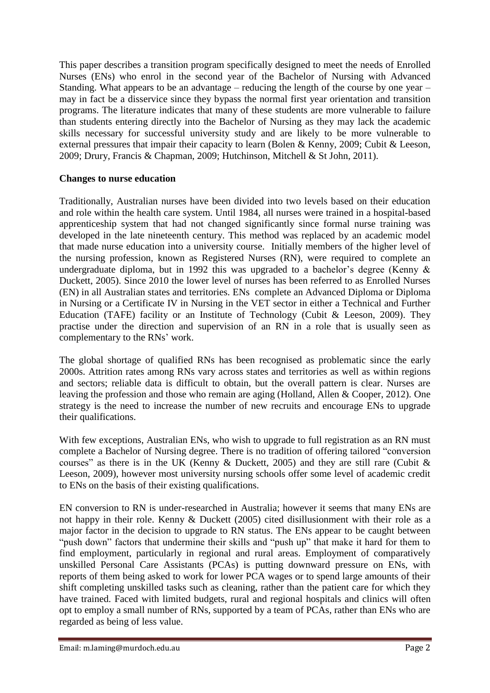This paper describes a transition program specifically designed to meet the needs of Enrolled Nurses (ENs) who enrol in the second year of the Bachelor of Nursing with Advanced Standing. What appears to be an advantage – reducing the length of the course by one year – may in fact be a disservice since they bypass the normal first year orientation and transition programs. The literature indicates that many of these students are more vulnerable to failure than students entering directly into the Bachelor of Nursing as they may lack the academic skills necessary for successful university study and are likely to be more vulnerable to external pressures that impair their capacity to learn (Bolen & Kenny, 2009; Cubit & Leeson, 2009; Drury, Francis & Chapman, 2009; Hutchinson, Mitchell & St John, 2011).

## **Changes to nurse education**

Traditionally, Australian nurses have been divided into two levels based on their education and role within the health care system. Until 1984, all nurses were trained in a hospital-based apprenticeship system that had not changed significantly since formal nurse training was developed in the late nineteenth century. This method was replaced by an academic model that made nurse education into a university course. Initially members of the higher level of the nursing profession, known as Registered Nurses (RN), were required to complete an undergraduate diploma, but in 1992 this was upgraded to a bachelor's degree (Kenny  $\&$ Duckett, 2005). Since 2010 the lower level of nurses has been referred to as Enrolled Nurses (EN) in all Australian states and territories. ENs complete an Advanced Diploma or Diploma in Nursing or a Certificate IV in Nursing in the VET sector in either a Technical and Further Education (TAFE) facility or an Institute of Technology (Cubit & Leeson, 2009). They practise under the direction and supervision of an RN in a role that is usually seen as complementary to the RNs' work.

The global shortage of qualified RNs has been recognised as problematic since the early 2000s. Attrition rates among RNs vary across states and territories as well as within regions and sectors; reliable data is difficult to obtain, but the overall pattern is clear. Nurses are leaving the profession and those who remain are aging (Holland, Allen & Cooper, 2012). One strategy is the need to increase the number of new recruits and encourage ENs to upgrade their qualifications.

With few exceptions, Australian ENs, who wish to upgrade to full registration as an RN must complete a Bachelor of Nursing degree. There is no tradition of offering tailored "conversion courses" as there is in the UK (Kenny  $\&$  Duckett, 2005) and they are still rare (Cubit  $\&$ Leeson, 2009), however most university nursing schools offer some level of academic credit to ENs on the basis of their existing qualifications.

EN conversion to RN is under-researched in Australia; however it seems that many ENs are not happy in their role. Kenny & Duckett (2005) cited disillusionment with their role as a major factor in the decision to upgrade to RN status. The ENs appear to be caught between "push down" factors that undermine their skills and "push up" that make it hard for them to find employment, particularly in regional and rural areas. Employment of comparatively unskilled Personal Care Assistants (PCAs) is putting downward pressure on ENs, with reports of them being asked to work for lower PCA wages or to spend large amounts of their shift completing unskilled tasks such as cleaning, rather than the patient care for which they have trained. Faced with limited budgets, rural and regional hospitals and clinics will often opt to employ a small number of RNs, supported by a team of PCAs, rather than ENs who are regarded as being of less value.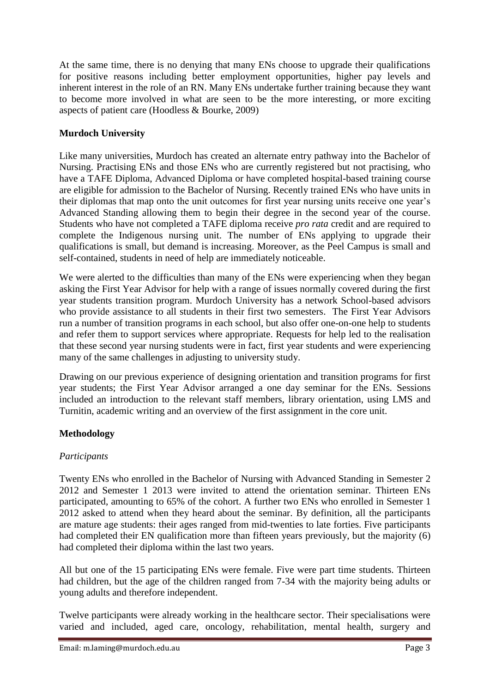At the same time, there is no denying that many ENs choose to upgrade their qualifications for positive reasons including better employment opportunities, higher pay levels and inherent interest in the role of an RN. Many ENs undertake further training because they want to become more involved in what are seen to be the more interesting, or more exciting aspects of patient care (Hoodless & Bourke, 2009)

## **Murdoch University**

Like many universities, Murdoch has created an alternate entry pathway into the Bachelor of Nursing. Practising ENs and those ENs who are currently registered but not practising, who have a TAFE Diploma, Advanced Diploma or have completed hospital-based training course are eligible for admission to the Bachelor of Nursing. Recently trained ENs who have units in their diplomas that map onto the unit outcomes for first year nursing units receive one year's Advanced Standing allowing them to begin their degree in the second year of the course. Students who have not completed a TAFE diploma receive *pro rata* credit and are required to complete the Indigenous nursing unit. The number of ENs applying to upgrade their qualifications is small, but demand is increasing. Moreover, as the Peel Campus is small and self-contained, students in need of help are immediately noticeable.

We were alerted to the difficulties than many of the ENs were experiencing when they began asking the First Year Advisor for help with a range of issues normally covered during the first year students transition program. Murdoch University has a network School-based advisors who provide assistance to all students in their first two semesters. The First Year Advisors run a number of transition programs in each school, but also offer one-on-one help to students and refer them to support services where appropriate. Requests for help led to the realisation that these second year nursing students were in fact, first year students and were experiencing many of the same challenges in adjusting to university study.

Drawing on our previous experience of designing orientation and transition programs for first year students; the First Year Advisor arranged a one day seminar for the ENs. Sessions included an introduction to the relevant staff members, library orientation, using LMS and Turnitin, academic writing and an overview of the first assignment in the core unit.

## **Methodology**

## *Participants*

Twenty ENs who enrolled in the Bachelor of Nursing with Advanced Standing in Semester 2 2012 and Semester 1 2013 were invited to attend the orientation seminar. Thirteen ENs participated, amounting to 65% of the cohort. A further two ENs who enrolled in Semester 1 2012 asked to attend when they heard about the seminar. By definition, all the participants are mature age students: their ages ranged from mid-twenties to late forties. Five participants had completed their EN qualification more than fifteen years previously, but the majority (6) had completed their diploma within the last two years.

All but one of the 15 participating ENs were female. Five were part time students. Thirteen had children, but the age of the children ranged from 7-34 with the majority being adults or young adults and therefore independent.

Twelve participants were already working in the healthcare sector. Their specialisations were varied and included, aged care, oncology, rehabilitation, mental health, surgery and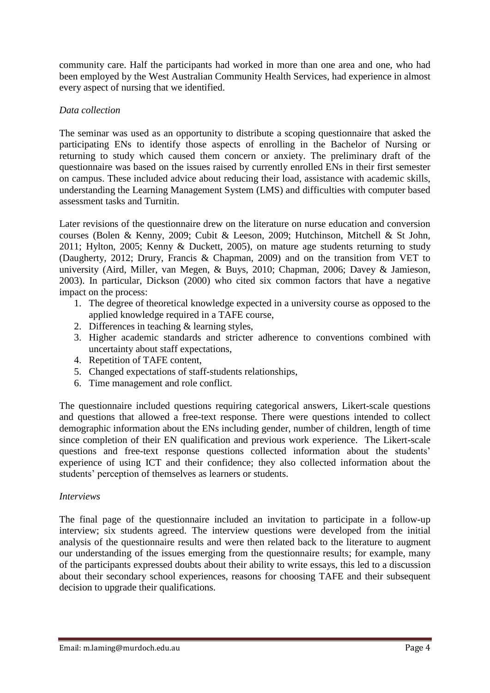community care. Half the participants had worked in more than one area and one, who had been employed by the West Australian Community Health Services, had experience in almost every aspect of nursing that we identified.

## *Data collection*

The seminar was used as an opportunity to distribute a scoping questionnaire that asked the participating ENs to identify those aspects of enrolling in the Bachelor of Nursing or returning to study which caused them concern or anxiety. The preliminary draft of the questionnaire was based on the issues raised by currently enrolled ENs in their first semester on campus. These included advice about reducing their load, assistance with academic skills, understanding the Learning Management System (LMS) and difficulties with computer based assessment tasks and Turnitin.

Later revisions of the questionnaire drew on the literature on nurse education and conversion courses (Bolen & Kenny, 2009; Cubit & Leeson, 2009; Hutchinson, Mitchell & St John, 2011; Hylton, 2005; Kenny & Duckett, 2005), on mature age students returning to study (Daugherty, 2012; Drury, Francis & Chapman, 2009) and on the transition from VET to university (Aird, Miller, van Megen, & Buys, 2010; Chapman, 2006; Davey & Jamieson, 2003). In particular, Dickson (2000) who cited six common factors that have a negative impact on the process:

- 1. The degree of theoretical knowledge expected in a university course as opposed to the applied knowledge required in a TAFE course,
- 2. Differences in teaching & learning styles,
- 3. Higher academic standards and stricter adherence to conventions combined with uncertainty about staff expectations,
- 4. Repetition of TAFE content,
- 5. Changed expectations of staff-students relationships,
- 6. Time management and role conflict.

The questionnaire included questions requiring categorical answers, Likert-scale questions and questions that allowed a free-text response. There were questions intended to collect demographic information about the ENs including gender, number of children, length of time since completion of their EN qualification and previous work experience. The Likert-scale questions and free-text response questions collected information about the students' experience of using ICT and their confidence; they also collected information about the students' perception of themselves as learners or students.

## *Interviews*

The final page of the questionnaire included an invitation to participate in a follow-up interview; six students agreed. The interview questions were developed from the initial analysis of the questionnaire results and were then related back to the literature to augment our understanding of the issues emerging from the questionnaire results; for example, many of the participants expressed doubts about their ability to write essays, this led to a discussion about their secondary school experiences, reasons for choosing TAFE and their subsequent decision to upgrade their qualifications.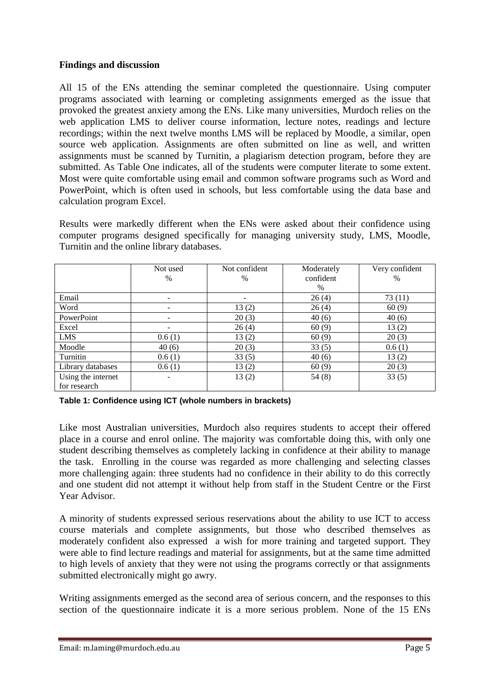### **Findings and discussion**

All 15 of the ENs attending the seminar completed the questionnaire. Using computer programs associated with learning or completing assignments emerged as the issue that provoked the greatest anxiety among the ENs. Like many universities, Murdoch relies on the web application LMS to deliver course information, lecture notes, readings and lecture recordings; within the next twelve months LMS will be replaced by Moodle, a similar, open source web application. Assignments are often submitted on line as well, and written assignments must be scanned by Turnitin, a plagiarism detection program, before they are submitted. As Table One indicates, all of the students were computer literate to some extent. Most were quite comfortable using email and common software programs such as Word and PowerPoint, which is often used in schools, but less comfortable using the data base and calculation program Excel.

Results were markedly different when the ENs were asked about their confidence using computer programs designed specifically for managing university study, LMS, Moodle, Turnitin and the online library databases.

|                    | Not used | Not confident | Moderately | Very confident |
|--------------------|----------|---------------|------------|----------------|
|                    | %        | $\frac{0}{0}$ | confident  | $\%$           |
|                    |          |               | $\%$       |                |
| Email              | ۰        | ۰             | 26(4)      | 73(11)         |
| Word               | -        | 13(2)         | 26(4)      | 60(9)          |
| PowerPoint         | ۰        | 20(3)         | 40(6)      | 40(6)          |
| Excel              |          | 26(4)         | 60(9)      | 13(2)          |
| <b>LMS</b>         | 0.6(1)   | 13(2)         | 60(9)      | 20(3)          |
| Moodle             | 40(6)    | 20(3)         | 33(5)      | 0.6(1)         |
| Turnitin           | 0.6(1)   | 33(5)         | 40(6)      | 13(2)          |
| Library databases  | 0.6(1)   | 13(2)         | 60(9)      | 20(3)          |
| Using the internet | -        | 13(2)         | 54(8)      | 33(5)          |
| for research       |          |               |            |                |

**Table 1: Confidence using ICT (whole numbers in brackets)**

Like most Australian universities, Murdoch also requires students to accept their offered place in a course and enrol online. The majority was comfortable doing this, with only one student describing themselves as completely lacking in confidence at their ability to manage the task. Enrolling in the course was regarded as more challenging and selecting classes more challenging again: three students had no confidence in their ability to do this correctly and one student did not attempt it without help from staff in the Student Centre or the First Year Advisor.

A minority of students expressed serious reservations about the ability to use ICT to access course materials and complete assignments, but those who described themselves as moderately confident also expressed a wish for more training and targeted support. They were able to find lecture readings and material for assignments, but at the same time admitted to high levels of anxiety that they were not using the programs correctly or that assignments submitted electronically might go awry.

Writing assignments emerged as the second area of serious concern, and the responses to this section of the questionnaire indicate it is a more serious problem. None of the 15 ENs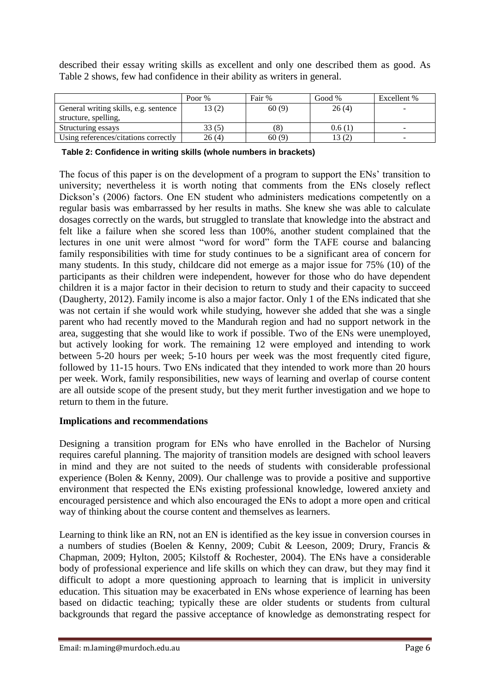described their essay writing skills as excellent and only one described them as good. As Table 2 shows, few had confidence in their ability as writers in general.

|                                       | Poor % | Fair % | Good % | Excellent % |
|---------------------------------------|--------|--------|--------|-------------|
| General writing skills, e.g. sentence | 13(2)  | 60(9)  | 26(4)  |             |
| structure, spelling,                  |        |        |        |             |
| Structuring essays                    | 33(5)  | (8)    | 0.6(1) |             |
| Using references/citations correctly  | 26(4)  | 60(9)  | 13 (2) |             |

**Table 2: Confidence in writing skills (whole numbers in brackets)**

The focus of this paper is on the development of a program to support the ENs' transition to university; nevertheless it is worth noting that comments from the ENs closely reflect Dickson's (2006) factors. One EN student who administers medications competently on a regular basis was embarrassed by her results in maths. She knew she was able to calculate dosages correctly on the wards, but struggled to translate that knowledge into the abstract and felt like a failure when she scored less than 100%, another student complained that the lectures in one unit were almost "word for word" form the TAFE course and balancing family responsibilities with time for study continues to be a significant area of concern for many students. In this study, childcare did not emerge as a major issue for 75% (10) of the participants as their children were independent, however for those who do have dependent children it is a major factor in their decision to return to study and their capacity to succeed (Daugherty, 2012). Family income is also a major factor. Only 1 of the ENs indicated that she was not certain if she would work while studying, however she added that she was a single parent who had recently moved to the Mandurah region and had no support network in the area, suggesting that she would like to work if possible. Two of the ENs were unemployed, but actively looking for work. The remaining 12 were employed and intending to work between 5-20 hours per week; 5-10 hours per week was the most frequently cited figure, followed by 11-15 hours. Two ENs indicated that they intended to work more than 20 hours per week. Work, family responsibilities, new ways of learning and overlap of course content are all outside scope of the present study, but they merit further investigation and we hope to return to them in the future.

## **Implications and recommendations**

Designing a transition program for ENs who have enrolled in the Bachelor of Nursing requires careful planning. The majority of transition models are designed with school leavers in mind and they are not suited to the needs of students with considerable professional experience (Bolen & Kenny, 2009). Our challenge was to provide a positive and supportive environment that respected the ENs existing professional knowledge, lowered anxiety and encouraged persistence and which also encouraged the ENs to adopt a more open and critical way of thinking about the course content and themselves as learners.

Learning to think like an RN, not an EN is identified as the key issue in conversion courses in a numbers of studies (Boelen & Kenny, 2009; Cubit & Leeson, 2009; Drury, Francis & Chapman, 2009; Hylton, 2005; Kilstoff & Rochester, 2004). The ENs have a considerable body of professional experience and life skills on which they can draw, but they may find it difficult to adopt a more questioning approach to learning that is implicit in university education. This situation may be exacerbated in ENs whose experience of learning has been based on didactic teaching; typically these are older students or students from cultural backgrounds that regard the passive acceptance of knowledge as demonstrating respect for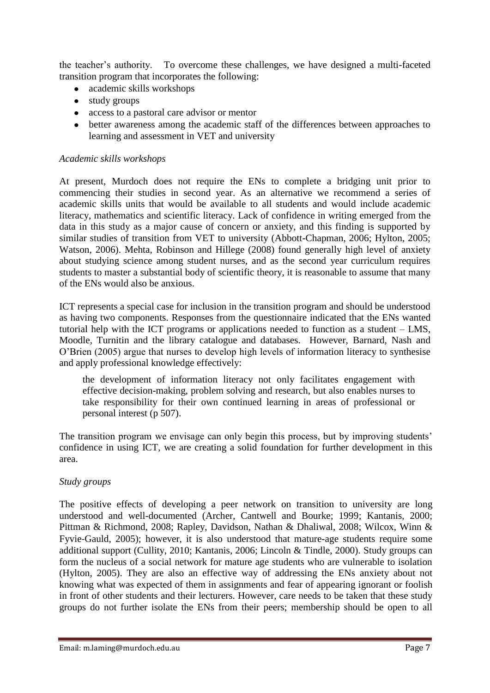the teacher's authority. To overcome these challenges, we have designed a multi-faceted transition program that incorporates the following:

- academic skills workshops  $\bullet$
- study groups
- access to a pastoral care advisor or mentor
- better awareness among the academic staff of the differences between approaches to learning and assessment in VET and university

### *Academic skills workshops*

At present, Murdoch does not require the ENs to complete a bridging unit prior to commencing their studies in second year. As an alternative we recommend a series of academic skills units that would be available to all students and would include academic literacy, mathematics and scientific literacy. Lack of confidence in writing emerged from the data in this study as a major cause of concern or anxiety, and this finding is supported by similar studies of transition from VET to university (Abbott-Chapman, 2006; Hylton, 2005; Watson, 2006). Mehta, Robinson and Hillege (2008) found generally high level of anxiety about studying science among student nurses, and as the second year curriculum requires students to master a substantial body of scientific theory, it is reasonable to assume that many of the ENs would also be anxious.

ICT represents a special case for inclusion in the transition program and should be understood as having two components. Responses from the questionnaire indicated that the ENs wanted tutorial help with the ICT programs or applications needed to function as a student – LMS, Moodle, Turnitin and the library catalogue and databases. However, Barnard, Nash and O'Brien (2005) argue that nurses to develop high levels of information literacy to synthesise and apply professional knowledge effectively:

the development of information literacy not only facilitates engagement with effective decision-making, problem solving and research, but also enables nurses to take responsibility for their own continued learning in areas of professional or personal interest (p 507).

The transition program we envisage can only begin this process, but by improving students' confidence in using ICT, we are creating a solid foundation for further development in this area.

## *Study groups*

The positive effects of developing a peer network on transition to university are long understood and well-documented (Archer, Cantwell and Bourke; 1999; Kantanis, 2000; Pittman & Richmond, 2008; Rapley, Davidson, Nathan & Dhaliwal, 2008; Wilcox, Winn & Fyvie‐Gauld, 2005); however, it is also understood that mature-age students require some additional support (Cullity, 2010; Kantanis, 2006; Lincoln & Tindle, 2000). Study groups can form the nucleus of a social network for mature age students who are vulnerable to isolation (Hylton, 2005). They are also an effective way of addressing the ENs anxiety about not knowing what was expected of them in assignments and fear of appearing ignorant or foolish in front of other students and their lecturers. However, care needs to be taken that these study groups do not further isolate the ENs from their peers; membership should be open to all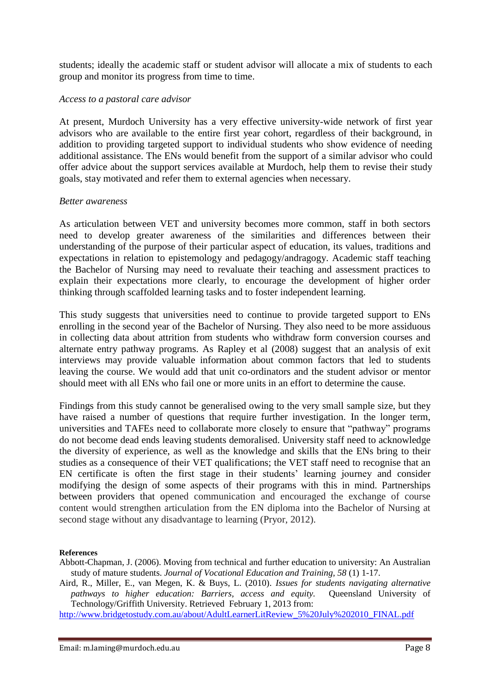students; ideally the academic staff or student advisor will allocate a mix of students to each group and monitor its progress from time to time.

#### *Access to a pastoral care advisor*

At present, Murdoch University has a very effective university-wide network of first year advisors who are available to the entire first year cohort, regardless of their background, in addition to providing targeted support to individual students who show evidence of needing additional assistance. The ENs would benefit from the support of a similar advisor who could offer advice about the support services available at Murdoch, help them to revise their study goals, stay motivated and refer them to external agencies when necessary.

### *Better awareness*

As articulation between VET and university becomes more common, staff in both sectors need to develop greater awareness of the similarities and differences between their understanding of the purpose of their particular aspect of education, its values, traditions and expectations in relation to epistemology and pedagogy/andragogy. Academic staff teaching the Bachelor of Nursing may need to revaluate their teaching and assessment practices to explain their expectations more clearly, to encourage the development of higher order thinking through scaffolded learning tasks and to foster independent learning.

This study suggests that universities need to continue to provide targeted support to ENs enrolling in the second year of the Bachelor of Nursing. They also need to be more assiduous in collecting data about attrition from students who withdraw form conversion courses and alternate entry pathway programs. As Rapley et al (2008) suggest that an analysis of exit interviews may provide valuable information about common factors that led to students leaving the course. We would add that unit co-ordinators and the student advisor or mentor should meet with all ENs who fail one or more units in an effort to determine the cause.

Findings from this study cannot be generalised owing to the very small sample size, but they have raised a number of questions that require further investigation. In the longer term, universities and TAFEs need to collaborate more closely to ensure that "pathway" programs do not become dead ends leaving students demoralised. University staff need to acknowledge the diversity of experience, as well as the knowledge and skills that the ENs bring to their studies as a consequence of their VET qualifications; the VET staff need to recognise that an EN certificate is often the first stage in their students' learning journey and consider modifying the design of some aspects of their programs with this in mind. Partnerships between providers that opened communication and encouraged the exchange of course content would strengthen articulation from the EN diploma into the Bachelor of Nursing at second stage without any disadvantage to learning (Pryor, 2012).

#### **References**

Abbott-Chapman, J. (2006). Moving from technical and further education to university: An Australian study of mature students. *Journal of Vocational Education and Training, 58* (1) 1-17.

Aird, R., Miller, E., van Megen, K. & Buys, L. (2010). *Issues for students navigating alternative pathways to higher education: Barriers, access and equity.* Queensland University of Technology/Griffith University. Retrieved February 1, 2013 from:

[http://www.bridgetostudy.com.au/about/AdultLearnerLitReview\\_5%20July%202010\\_FINAL.pdf](http://www.bridgetostudy.com.au/about/AdultLearnerLitReview_5%20July%202010_FINAL.pdf)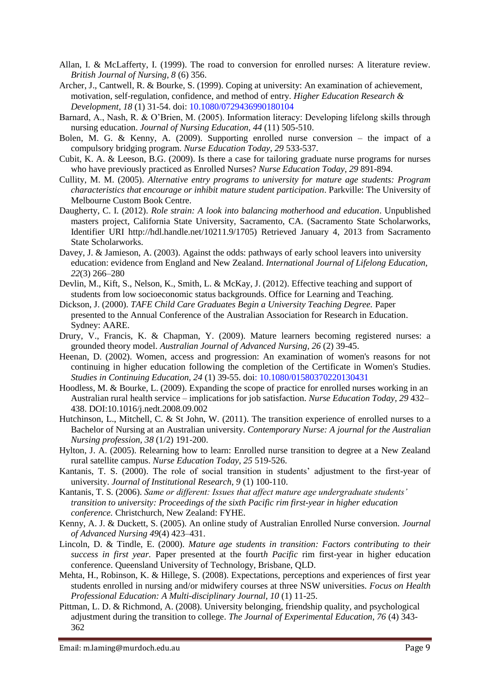- Allan, I. & McLafferty, I. (1999). The road to conversion for enrolled nurses: A literature review. *British Journal of Nursing, 8* (6) 356.
- Archer, J., Cantwell, R. & Bourke, S. (1999). Coping at university: An examination of achievement, motivation, self‐regulation, confidence, and method of entry. *Higher Education Research & Development, 18* (1) 31-54. doi: 10.1080/0729436990180104
- Barnard, A., Nash, R. & O'Brien, M. (2005). Information literacy: Developing lifelong skills through nursing education. *Journal of Nursing Education, 44* (11) 505-510.
- Bolen, M. G. & Kenny, A. (2009). Supporting enrolled nurse conversion the impact of a compulsory bridging program. *Nurse Education Today, 29* 533-537.
- Cubit, K. A. & Leeson, B.G. (2009). Is there a case for tailoring graduate nurse programs for nurses who have previously practiced as Enrolled Nurses? *Nurse Education Today, 29* 891-894.
- Cullity, M. M. (2005). *Alternative entry programs to university for mature age students: Program characteristics that encourage or inhibit mature student participation*. Parkville: The University of Melbourne Custom Book Centre.
- Daugherty, C. I. (2012). *Role strain: A look into balancing motherhood and education*. Unpublished masters project, California State University, Sacramento, CA. (Sacramento State Scholarworks, Identifier URI http://hdl.handle.net/10211.9/1705) Retrieved January 4, 2013 from Sacramento State Scholarworks.
- Davey, J. & Jamieson, A. (2003). Against the odds: pathways of early school leavers into university education: evidence from England and New Zealand. *International Journal of Lifelong Education, 22*(3) 266–280
- Devlin, M., Kift, S., Nelson, K., Smith, L. & McKay, J. (2012). Effective teaching and support of students from low socioeconomic status backgrounds. Office for Learning and Teaching.
- Dickson, J. (2000). *TAFE Child Care Graduates Begin a University Teaching Degree.* Paper presented to the Annual Conference of the Australian Association for Research in Education. Sydney: AARE.
- Drury, V., Francis, K. & Chapman, Y. (2009). Mature learners becoming registered nurses: a grounded theory model. *Australian Journal of Advanced Nursing, 26* (2) 39-45.
- Heenan, D. (2002). Women, access and progression: An examination of women's reasons for not continuing in higher education following the completion of the Certificate in Women's Studies. *Studies in Continuing Education, 24* (1) 39-55. doi: 10.1080/01580370220130431
- Hoodless, M. & Bourke, L. (2009). Expanding the scope of practice for enrolled nurses working in an Australian rural health service – implications for job satisfaction. *Nurse Education Today, 29* 432– 438. DOI:10.1016/j.nedt.2008.09.002
- Hutchinson, L., Mitchell, C. & St John, W. (2011). The transition experience of enrolled nurses to a Bachelor of Nursing at an Australian university. *Contemporary Nurse: A journal for the Australian Nursing profession, 38* (1/2) 191-200.
- Hylton, J. A. (2005). Relearning how to learn: Enrolled nurse transition to degree at a New Zealand rural satellite campus. *Nurse Education Today*, *25* 519-526.
- Kantanis, T. S. (2000). The role of social transition in students' adjustment to the first-year of university. *Journal of Institutional Research, 9* (1) 100-110.
- Kantanis, T. S. (2006). *Same or different: Issues that affect mature age undergraduate students' transition to university: Proceedings of the sixth Pacific rim first-year in higher education conference.* Christchurch, New Zealand: FYHE.
- Kenny, A. J. & Duckett, S. (2005). An online study of Australian Enrolled Nurse conversion. *Journal of Advanced Nursing 49*(4) 423–431.
- Lincoln, D. & Tindle, E. (2000). *Mature age students in transition: Factors contributing to their success in first year.* Paper presented at the fourt*h Pacific* rim first-year in higher education conference. Queensland University of Technology, Brisbane, QLD.
- Mehta, H., Robinson, K. & Hillege, S. (2008). Expectations, perceptions and experiences of first year students enrolled in nursing and/or midwifery courses at three NSW universities. *Focus on Health Professional Education: A Multi-disciplinary Journal, 10* (1) 11-25.
- Pittman, L. D. & Richmond, A. (2008). University belonging, friendship quality, and psychological adjustment during the transition to college. *The Journal of Experimental Education, 76* (4) 343- 362

Email: m.laming@murdoch.edu.au Page 9